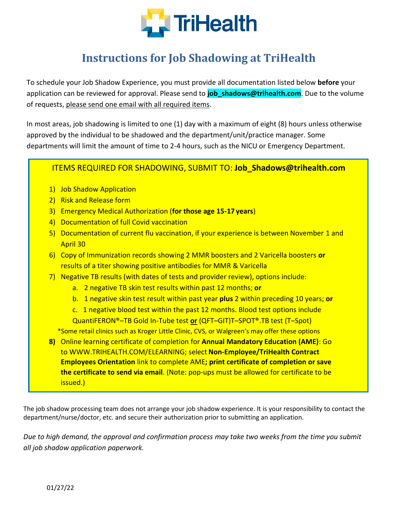

## **Instructions for Job Shadowing at TriHealth**

To schedule your Job Shadow Experience, you must provide all documentation listed below **before** your application can be reviewed for approval. Please send to **job\_shadows@trihealth.com**. Due to the volume of requests, please send one email with all required items.

In most areas, job shadowing is limited to one (1) day with a maximum of eight (8) hours unless otherwise approved by the individual to be shadowed and the department/unit/practice manager. Some departments will limit the amount of time to 2-4 hours, such as the NICU or Emergency Department.

## ITEMS REQUIRED FOR SHADOWING, SUBMIT TO: **Job\_Shadows@trihealth.com**

- 1) Job Shadow Application
- 2) Risk and Release form
- 3) Emergency Medical Authorization (**for those age 15-17 years**)
- 4) Documentation of full Covid vaccination
- 5) Documentation of current flu vaccination, if your experience is between November 1 and April 30
- 6) Copy of Immunization records showing 2 MMR boosters and 2 Varicella boosters **or** results of a titer showing positive antibodies for MMR & Varicella
- 7) Negative TB results (with dates of tests and provider review), options include:
	- a. 2 negative TB skin test results within past 12 months; **or**
	- b. 1 negative skin test result within past year **plus** 2 within preceding 10 years; **or**
	- c. 1 negative blood test within the past 12 months. Blood test options include
	- QuantiFERON®–TB Gold In-Tube test **or** (QFT–GIT)T–SPOT®.TB test (T–Spot)
	- \*Some retail clinics such as Kroger Little Clinic, CVS, or Walgreen's may offer these options
- **8)** Online learning certificate of completion for **Annual Mandatory Education (AME)**: Go to [WWW.TRIHEALTH.COM/ELEARNING; s](http://www.trihealth.com/ELEARNING%3B)elect **Non-Employee/TriHealth Contract Employees Orientation** link to complete AME**; print certificate of completion or save the certificate to send via email**. (Note: pop-ups must be allowed for certificate to be issued.)

The job shadow processing team does not arrange your job shadow experience. It is your responsibility to contact the department/nurse/doctor, etc. and secure their authorization prior to submitting an application.

*Due to high demand, the approval and confirmation process may take two weeks from the time you submit all job shadow application paperwork.*